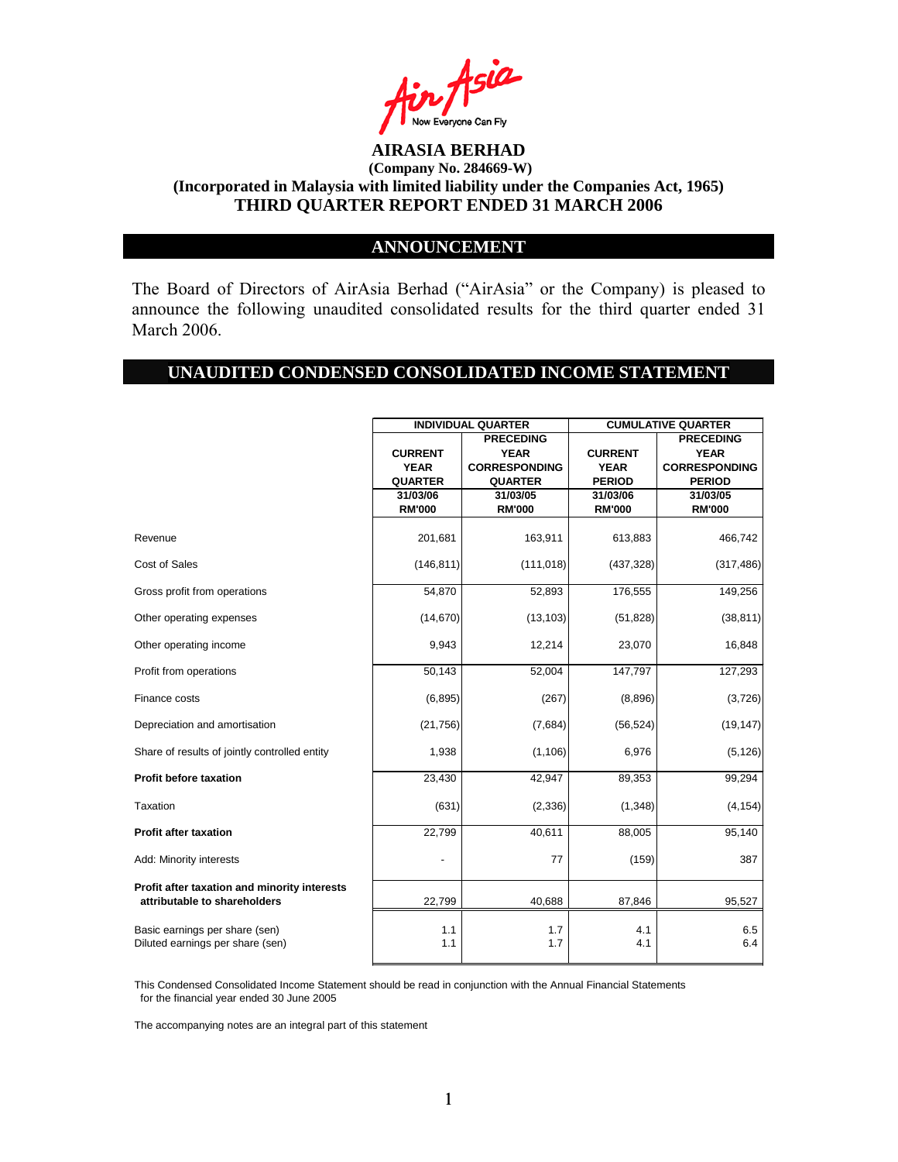

### **ANNOUNCEMENT**

The Board of Directors of AirAsia Berhad ("AirAsia" or the Company) is pleased to announce the following unaudited consolidated results for the third quarter ended 31 March 2006.

#### **UNAUDITED CONDENSED CONSOLIDATED INCOME STATEMENT**

|                                                                              | <b>INDIVIDUAL QUARTER</b> |                      | <b>CUMULATIVE QUARTER</b> |                      |  |
|------------------------------------------------------------------------------|---------------------------|----------------------|---------------------------|----------------------|--|
|                                                                              |                           | <b>PRECEDING</b>     |                           | <b>PRECEDING</b>     |  |
|                                                                              | <b>CURRENT</b>            | <b>YEAR</b>          | <b>CURRENT</b>            | <b>YEAR</b>          |  |
|                                                                              | <b>YEAR</b>               | <b>CORRESPONDING</b> | <b>YEAR</b>               | <b>CORRESPONDING</b> |  |
|                                                                              | <b>QUARTER</b>            | <b>QUARTER</b>       | <b>PERIOD</b>             | <b>PERIOD</b>        |  |
|                                                                              | 31/03/06                  | 31/03/05             | 31/03/06                  | 31/03/05             |  |
|                                                                              | <b>RM'000</b>             | <b>RM'000</b>        | <b>RM'000</b>             | <b>RM'000</b>        |  |
| Revenue                                                                      | 201,681                   | 163,911              | 613,883                   | 466,742              |  |
| Cost of Sales                                                                | (146, 811)                | (111, 018)           | (437, 328)                | (317, 486)           |  |
| Gross profit from operations                                                 | 54,870                    | 52,893               | 176,555                   | 149,256              |  |
| Other operating expenses                                                     | (14, 670)                 | (13, 103)            | (51, 828)                 | (38, 811)            |  |
| Other operating income                                                       | 9,943                     | 12,214               | 23,070                    | 16,848               |  |
| Profit from operations                                                       | 50,143                    | 52,004               | 147,797                   | 127,293              |  |
| Finance costs                                                                | (6, 895)                  | (267)                | (8,896)                   | (3,726)              |  |
| Depreciation and amortisation                                                | (21, 756)                 | (7,684)              | (56, 524)                 | (19, 147)            |  |
| Share of results of jointly controlled entity                                | 1,938                     | (1, 106)             | 6,976                     | (5, 126)             |  |
| <b>Profit before taxation</b>                                                | 23,430                    | 42,947               | 89,353                    | 99,294               |  |
| Taxation                                                                     | (631)                     | (2, 336)             | (1, 348)                  | (4, 154)             |  |
| <b>Profit after taxation</b>                                                 | 22,799                    | 40,611               | 88,005                    | 95,140               |  |
| Add: Minority interests                                                      |                           | 77                   | (159)                     | 387                  |  |
| Profit after taxation and minority interests<br>attributable to shareholders | 22,799                    | 40,688               | 87,846                    | 95,527               |  |
| Basic earnings per share (sen)<br>Diluted earnings per share (sen)           | 1.1<br>1.1                | 1.7<br>1.7           | 4.1<br>4.1                | 6.5<br>6.4           |  |

This Condensed Consolidated Income Statement should be read in conjunction with the Annual Financial Statements for the financial year ended 30 June 2005

The accompanying notes are an integral part of this statement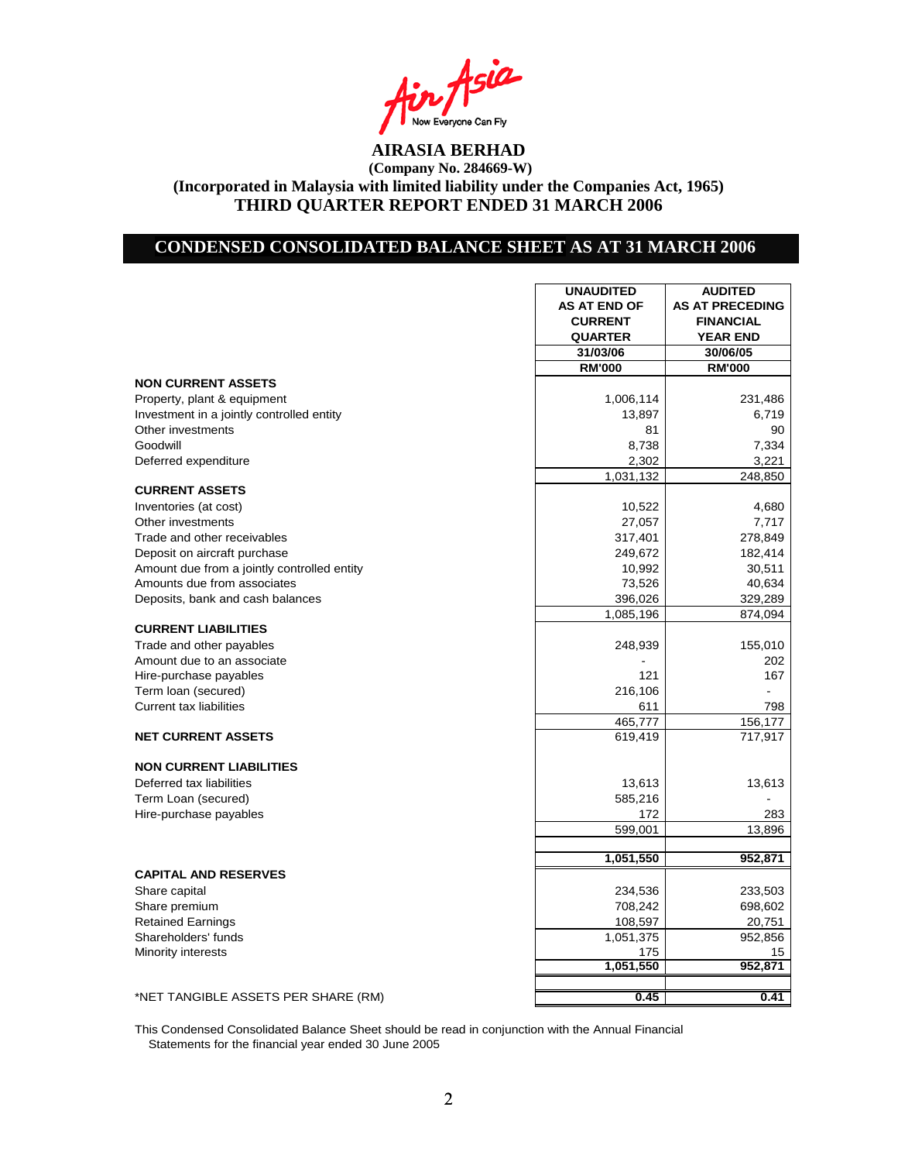Asia Now Everyone Can Fly<br>**AIRASIA BERHAD** 

### **CONDENSED CONSOLIDATED BALANCE SHEET AS AT 31 MARCH 2006**

|                                             | <b>UNAUDITED</b>    | <b>AUDITED</b>         |
|---------------------------------------------|---------------------|------------------------|
|                                             | <b>AS AT END OF</b> | <b>AS AT PRECEDING</b> |
|                                             | <b>CURRENT</b>      | <b>FINANCIAL</b>       |
|                                             | <b>QUARTER</b>      | <b>YEAR END</b>        |
|                                             | 31/03/06            | 30/06/05               |
|                                             | <b>RM'000</b>       | <b>RM'000</b>          |
| <b>NON CURRENT ASSETS</b>                   |                     |                        |
| Property, plant & equipment                 | 1,006,114           | 231,486                |
| Investment in a jointly controlled entity   | 13,897              | 6,719                  |
| Other investments                           | 81                  | 90                     |
| Goodwill                                    | 8,738               | 7,334                  |
| Deferred expenditure                        | 2,302               | 3,221                  |
|                                             | 1,031,132           | 248,850                |
| <b>CURRENT ASSETS</b>                       |                     |                        |
| Inventories (at cost)                       | 10,522              | 4,680                  |
| Other investments                           | 27,057              | 7,717                  |
| Trade and other receivables                 | 317,401             | 278,849                |
| Deposit on aircraft purchase                | 249,672             | 182,414                |
| Amount due from a jointly controlled entity | 10,992              | 30,511                 |
| Amounts due from associates                 | 73,526              | 40,634                 |
| Deposits, bank and cash balances            | 396,026             | 329,289                |
|                                             | 1,085,196           | 874,094                |
| <b>CURRENT LIABILITIES</b>                  |                     |                        |
| Trade and other payables                    | 248,939             | 155,010                |
| Amount due to an associate                  |                     | 202                    |
| Hire-purchase payables                      | 121                 | 167                    |
| Term loan (secured)                         | 216,106             |                        |
| <b>Current tax liabilities</b>              | 611                 | 798                    |
|                                             | 465,777             | 156,177                |
| <b>NET CURRENT ASSETS</b>                   | 619,419             | 717,917                |
|                                             |                     |                        |
| <b>NON CURRENT LIABILITIES</b>              |                     |                        |
| Deferred tax liabilities                    | 13,613              | 13,613                 |
| Term Loan (secured)                         | 585,216             |                        |
| Hire-purchase payables                      | 172                 | 283                    |
|                                             | 599,001             | 13,896                 |
|                                             |                     |                        |
|                                             | 1,051,550           | 952,871                |
| <b>CAPITAL AND RESERVES</b>                 |                     |                        |
| Share capital                               | 234,536             | 233,503                |
| Share premium                               | 708,242             | 698,602                |
| <b>Retained Earnings</b>                    | 108,597             | 20,751                 |
| Shareholders' funds                         | 1,051,375           | 952,856                |
| Minority interests                          | 175                 | 15                     |
|                                             | 1,051,550           | 952,871                |
|                                             |                     |                        |
| *NET TANGIBLE ASSETS PER SHARE (RM)         | 0.45                | 0.41                   |

This Condensed Consolidated Balance Sheet should be read in conjunction with the Annual Financial Statements for the financial year ended 30 June 2005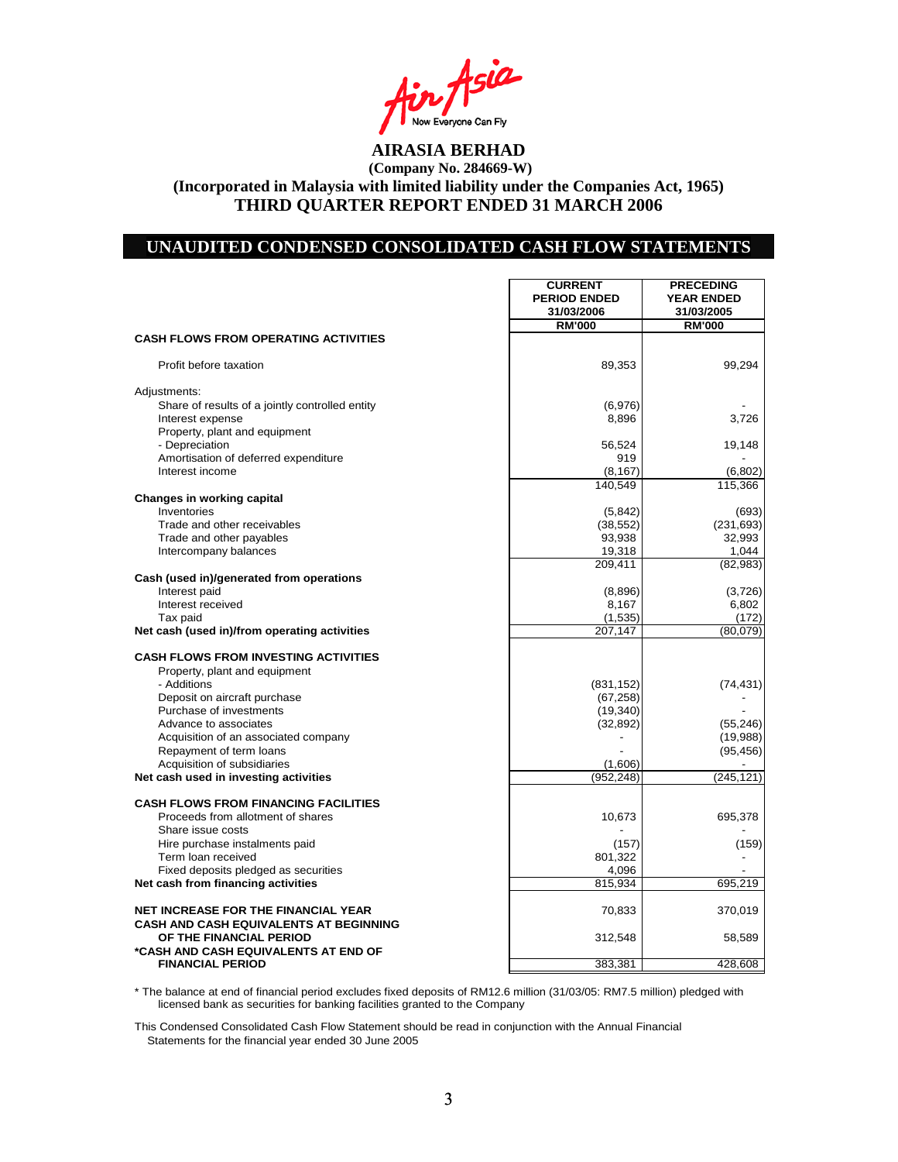Asia Now Everyone Can Fly<br>**AIRASIA BERHAD** 

### **UNAUDITED CONDENSED CONSOLIDATED CASH FLOW STATEMENTS**

|                                                                                                                  | <b>CURRENT</b><br><b>PERIOD ENDED</b><br>31/03/2006 | <b>PRECEDING</b><br><b>YEAR ENDED</b><br>31/03/2005 |
|------------------------------------------------------------------------------------------------------------------|-----------------------------------------------------|-----------------------------------------------------|
|                                                                                                                  | <b>RM'000</b>                                       | <b>RM'000</b>                                       |
| <b>CASH FLOWS FROM OPERATING ACTIVITIES</b>                                                                      |                                                     |                                                     |
| Profit before taxation                                                                                           | 89,353                                              | 99,294                                              |
| Adjustments:                                                                                                     |                                                     |                                                     |
| Share of results of a jointly controlled entity                                                                  | (6,976)                                             |                                                     |
| Interest expense                                                                                                 | 8,896                                               | 3,726                                               |
| Property, plant and equipment                                                                                    |                                                     |                                                     |
| - Depreciation                                                                                                   | 56,524                                              | 19,148                                              |
| Amortisation of deferred expenditure<br>Interest income                                                          | 919<br>(8, 167)                                     | (6,802)                                             |
|                                                                                                                  | 140,549                                             | 115,366                                             |
| Changes in working capital                                                                                       |                                                     |                                                     |
| Inventories                                                                                                      | (5,842)                                             | (693)                                               |
| Trade and other receivables                                                                                      | (38, 552)                                           | (231, 693)                                          |
| Trade and other payables                                                                                         | 93,938                                              | 32,993                                              |
| Intercompany balances                                                                                            | 19,318                                              | 1,044                                               |
|                                                                                                                  | 209,411                                             | (82, 983)                                           |
| Cash (used in)/generated from operations                                                                         |                                                     |                                                     |
| Interest paid<br>Interest received                                                                               | (8,896)<br>8,167                                    | (3,726)<br>6,802                                    |
| Tax paid                                                                                                         | (1,535)                                             | (172)                                               |
| Net cash (used in)/from operating activities                                                                     | 207,147                                             | (80,079)                                            |
|                                                                                                                  |                                                     |                                                     |
| <b>CASH FLOWS FROM INVESTING ACTIVITIES</b>                                                                      |                                                     |                                                     |
| Property, plant and equipment                                                                                    |                                                     |                                                     |
| - Additions                                                                                                      | (831, 152)                                          | (74, 431)                                           |
| Deposit on aircraft purchase                                                                                     | (67, 258)                                           |                                                     |
| Purchase of investments<br>Advance to associates                                                                 | (19, 340)                                           | (55, 246)                                           |
| Acquisition of an associated company                                                                             | (32, 892)                                           | (19,988)                                            |
| Repayment of term loans                                                                                          |                                                     | (95, 456)                                           |
| Acquisition of subsidiaries                                                                                      | (1,606)                                             |                                                     |
| Net cash used in investing activities                                                                            | (952, 248)                                          | (245, 121)                                          |
| <b>CASH FLOWS FROM FINANCING FACILITIES</b>                                                                      |                                                     |                                                     |
| Proceeds from allotment of shares                                                                                | 10,673                                              | 695,378                                             |
| Share issue costs                                                                                                |                                                     |                                                     |
| Hire purchase instalments paid                                                                                   | (157)                                               | (159)                                               |
| Term loan received                                                                                               | 801,322                                             |                                                     |
| Fixed deposits pledged as securities                                                                             | 4,096                                               |                                                     |
| Net cash from financing activities                                                                               | 815,934                                             | 695,219                                             |
| <b>NET INCREASE FOR THE FINANCIAL YEAR</b>                                                                       | 70,833                                              | 370,019                                             |
| <b>CASH AND CASH EQUIVALENTS AT BEGINNING</b><br>OF THE FINANCIAL PERIOD<br>*CASH AND CASH EQUIVALENTS AT END OF | 312,548                                             | 58,589                                              |
| <b>FINANCIAL PERIOD</b>                                                                                          | 383,381                                             | 428,608                                             |

\* The balance at end of financial period excludes fixed deposits of RM12.6 million (31/03/05: RM7.5 million) pledged with licensed bank as securities for banking facilities granted to the Company

This Condensed Consolidated Cash Flow Statement should be read in conjunction with the Annual Financial Statements for the financial year ended 30 June 2005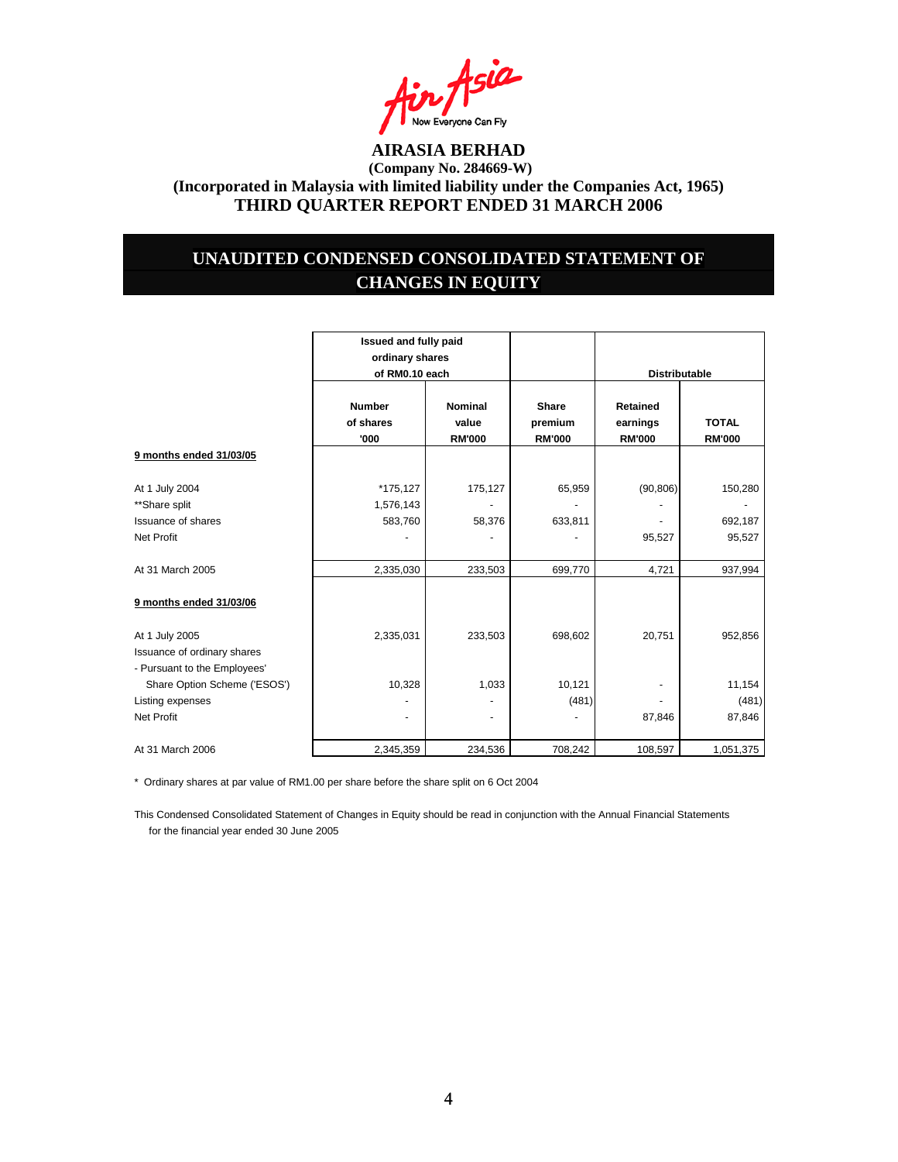

### **UNAUDITED CONDENSED CONSOLIDATED STATEMENT OF CHANGES IN EQUITY**

|                              | Issued and fully paid<br>ordinary shares |                         |                         |                             |               |
|------------------------------|------------------------------------------|-------------------------|-------------------------|-----------------------------|---------------|
|                              | of RM0.10 each                           |                         |                         | <b>Distributable</b>        |               |
|                              | <b>Number</b><br>of shares               | <b>Nominal</b><br>value | <b>Share</b><br>premium | <b>Retained</b><br>earnings | <b>TOTAL</b>  |
|                              | '000                                     | <b>RM'000</b>           | <b>RM'000</b>           | <b>RM'000</b>               | <b>RM'000</b> |
| 9 months ended 31/03/05      |                                          |                         |                         |                             |               |
| At 1 July 2004               | *175,127                                 | 175,127                 | 65,959                  | (90, 806)                   | 150,280       |
| **Share split                | 1,576,143                                |                         |                         |                             |               |
| <b>Issuance of shares</b>    | 583,760                                  | 58,376                  | 633,811                 |                             | 692,187       |
| <b>Net Profit</b>            |                                          |                         |                         | 95,527                      | 95,527        |
| At 31 March 2005             | 2,335,030                                | 233,503                 | 699,770                 | 4,721                       | 937,994       |
| 9 months ended 31/03/06      |                                          |                         |                         |                             |               |
| At 1 July 2005               | 2,335,031                                | 233,503                 | 698,602                 | 20,751                      | 952,856       |
| Issuance of ordinary shares  |                                          |                         |                         |                             |               |
| - Pursuant to the Employees' |                                          |                         |                         |                             |               |
| Share Option Scheme ('ESOS') | 10,328                                   | 1,033                   | 10,121                  |                             | 11,154        |
| Listing expenses             |                                          |                         | (481)                   |                             | (481)         |
| <b>Net Profit</b>            |                                          |                         |                         | 87,846                      | 87,846        |
| At 31 March 2006             | 2,345,359                                | 234,536                 | 708,242                 | 108,597                     | 1,051,375     |

\* Ordinary shares at par value of RM1.00 per share before the share split on 6 Oct 2004

This Condensed Consolidated Statement of Changes in Equity should be read in conjunction with the Annual Financial Statements for the financial year ended 30 June 2005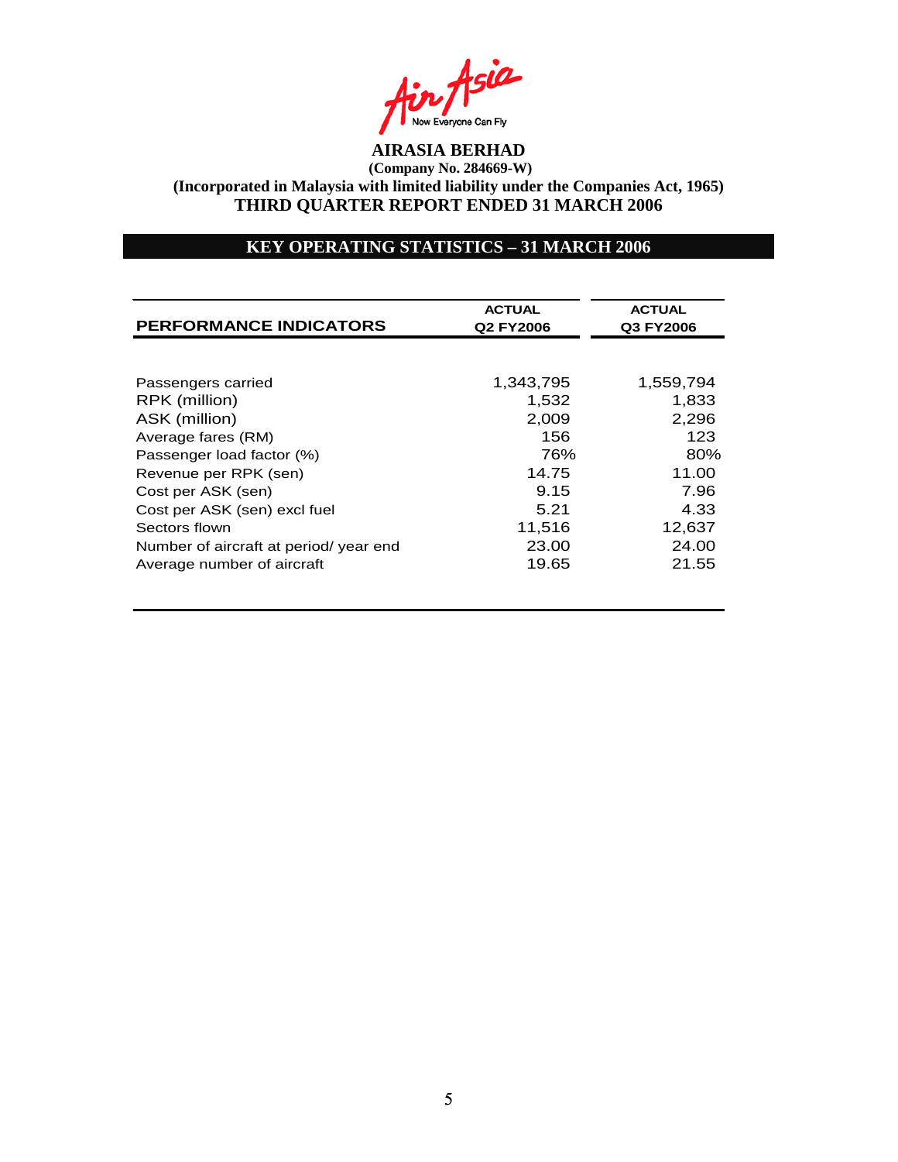

### **KEY OPERATING STATISTICS – 31 MARCH 2006**

| <b>PERFORMANCE INDICATORS</b>         | <b>ACTUAL</b><br>Q2 FY2006 | <b>ACTUAL</b><br>Q3 FY2006 |
|---------------------------------------|----------------------------|----------------------------|
|                                       |                            |                            |
| Passengers carried                    | 1,343,795                  | 1,559,794                  |
| RPK (million)                         | 1.532                      | 1.833                      |
| ASK (million)                         | 2,009                      | 2,296                      |
| Average fares (RM)                    | 156                        | 123                        |
| Passenger load factor (%)             | 76%                        | 80%                        |
| Revenue per RPK (sen)                 | 14.75                      | 11.00                      |
| Cost per ASK (sen)                    | 9.15                       | 7.96                       |
| Cost per ASK (sen) excl fuel          | 5.21                       | 4.33                       |
| Sectors flown                         | 11,516                     | 12,637                     |
| Number of aircraft at period/year end | 23.00                      | 24.00                      |
| Average number of aircraft            | 19.65                      | 21.55                      |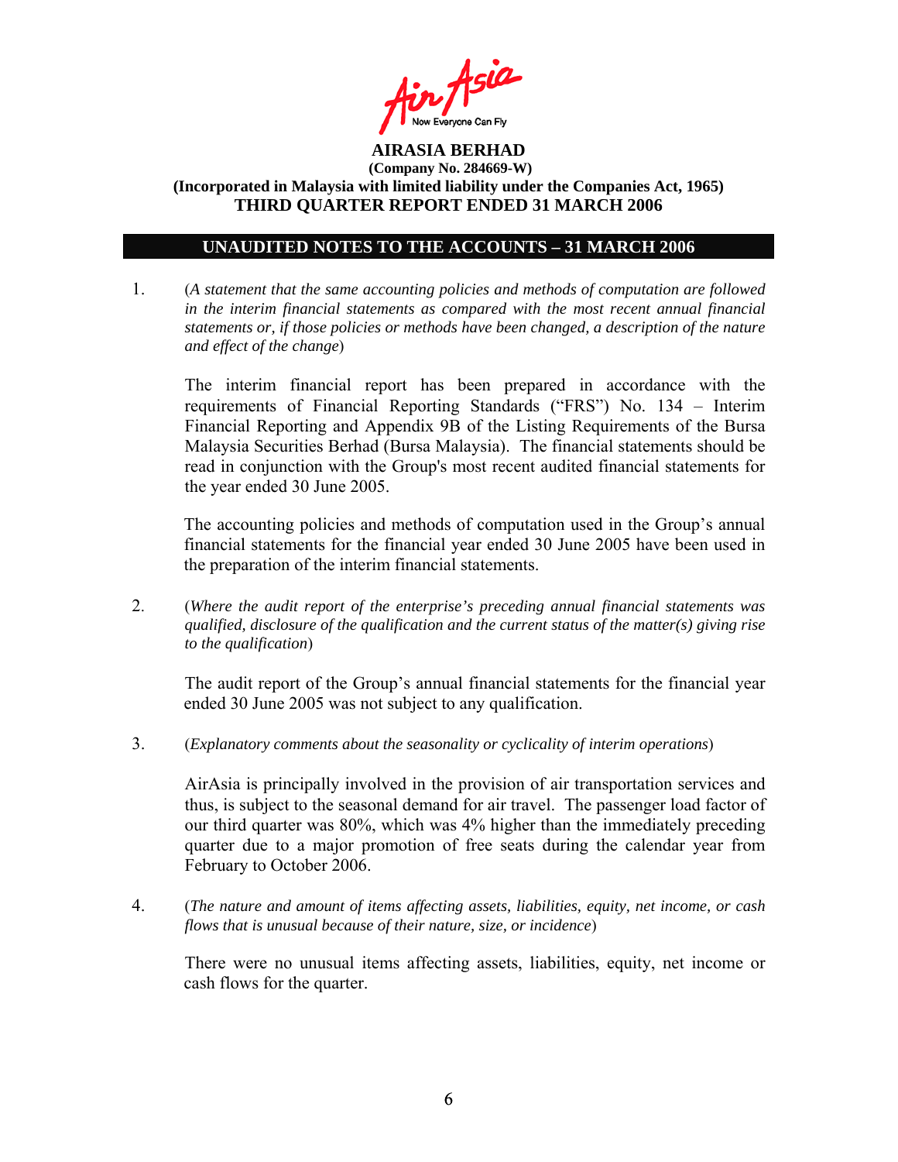

### **UNAUDITED NOTES TO THE ACCOUNTS – 31 MARCH 2006**

1. (*A statement that the same accounting policies and methods of computation are followed in the interim financial statements as compared with the most recent annual financial statements or, if those policies or methods have been changed, a description of the nature and effect of the change*)

The interim financial report has been prepared in accordance with the requirements of Financial Reporting Standards ("FRS") No. 134 – Interim Financial Reporting and Appendix 9B of the Listing Requirements of the Bursa Malaysia Securities Berhad (Bursa Malaysia). The financial statements should be read in conjunction with the Group's most recent audited financial statements for the year ended 30 June 2005.

The accounting policies and methods of computation used in the Group's annual financial statements for the financial year ended 30 June 2005 have been used in the preparation of the interim financial statements.

2. (*Where the audit report of the enterprise's preceding annual financial statements was qualified, disclosure of the qualification and the current status of the matter(s) giving rise to the qualification*)

The audit report of the Group's annual financial statements for the financial year ended 30 June 2005 was not subject to any qualification.

3. (*Explanatory comments about the seasonality or cyclicality of interim operations*)

AirAsia is principally involved in the provision of air transportation services and thus, is subject to the seasonal demand for air travel. The passenger load factor of our third quarter was 80%, which was 4% higher than the immediately preceding quarter due to a major promotion of free seats during the calendar year from February to October 2006.

4. (*The nature and amount of items affecting assets, liabilities, equity, net income, or cash flows that is unusual because of their nature, size, or incidence*)

 There were no unusual items affecting assets, liabilities, equity, net income or cash flows for the quarter.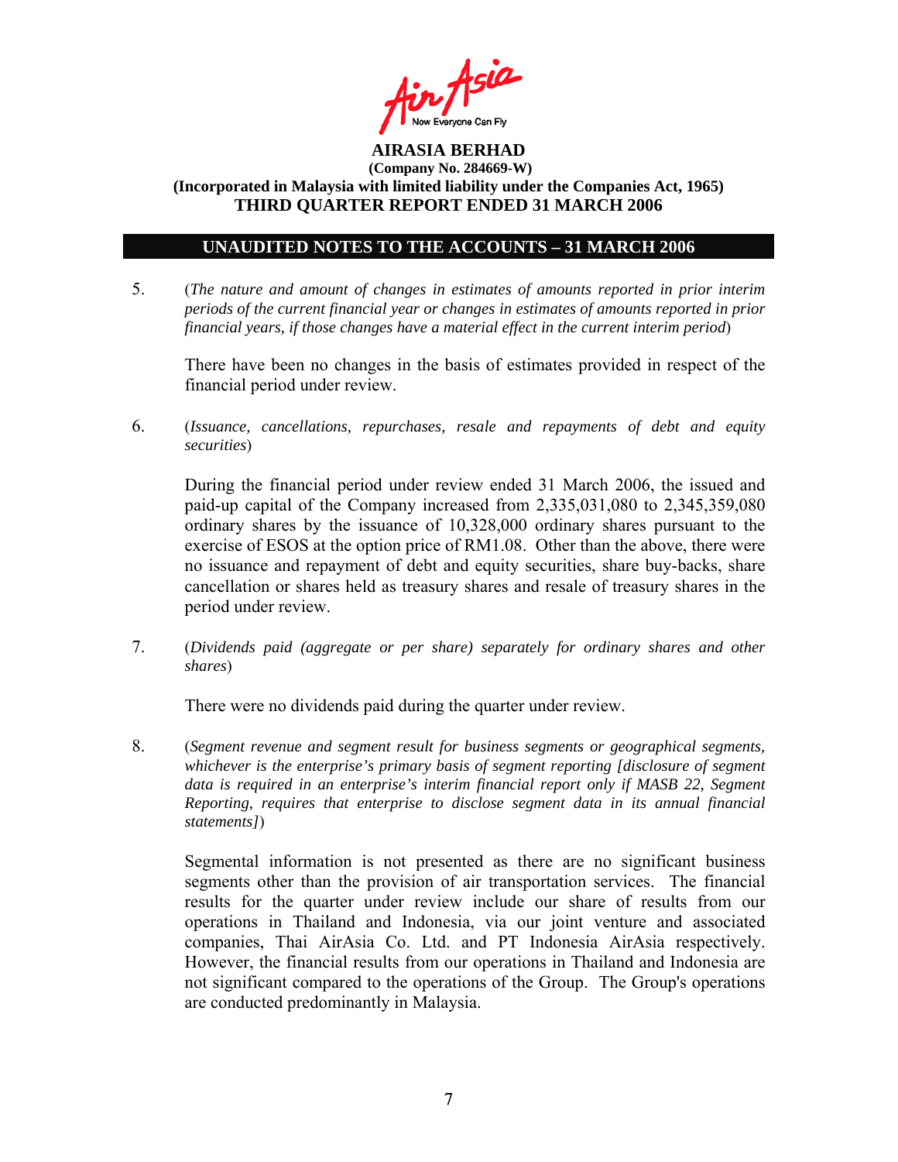

#### **UNAUDITED NOTES TO THE ACCOUNTS – 31 MARCH 2006**

5. (*The nature and amount of changes in estimates of amounts reported in prior interim periods of the current financial year or changes in estimates of amounts reported in prior financial years, if those changes have a material effect in the current interim period*)

There have been no changes in the basis of estimates provided in respect of the financial period under review.

6. (*Issuance, cancellations, repurchases, resale and repayments of debt and equity securities*)

During the financial period under review ended 31 March 2006, the issued and paid-up capital of the Company increased from 2,335,031,080 to 2,345,359,080 ordinary shares by the issuance of 10,328,000 ordinary shares pursuant to the exercise of ESOS at the option price of RM1.08. Other than the above, there were no issuance and repayment of debt and equity securities, share buy-backs, share cancellation or shares held as treasury shares and resale of treasury shares in the period under review.

7. (*Dividends paid (aggregate or per share) separately for ordinary shares and other shares*)

There were no dividends paid during the quarter under review.

8. (*Segment revenue and segment result for business segments or geographical segments, whichever is the enterprise's primary basis of segment reporting [disclosure of segment data is required in an enterprise's interim financial report only if MASB 22, Segment Reporting, requires that enterprise to disclose segment data in its annual financial statements]*)

Segmental information is not presented as there are no significant business segments other than the provision of air transportation services. The financial results for the quarter under review include our share of results from our operations in Thailand and Indonesia, via our joint venture and associated companies, Thai AirAsia Co. Ltd. and PT Indonesia AirAsia respectively. However, the financial results from our operations in Thailand and Indonesia are not significant compared to the operations of the Group. The Group's operations are conducted predominantly in Malaysia.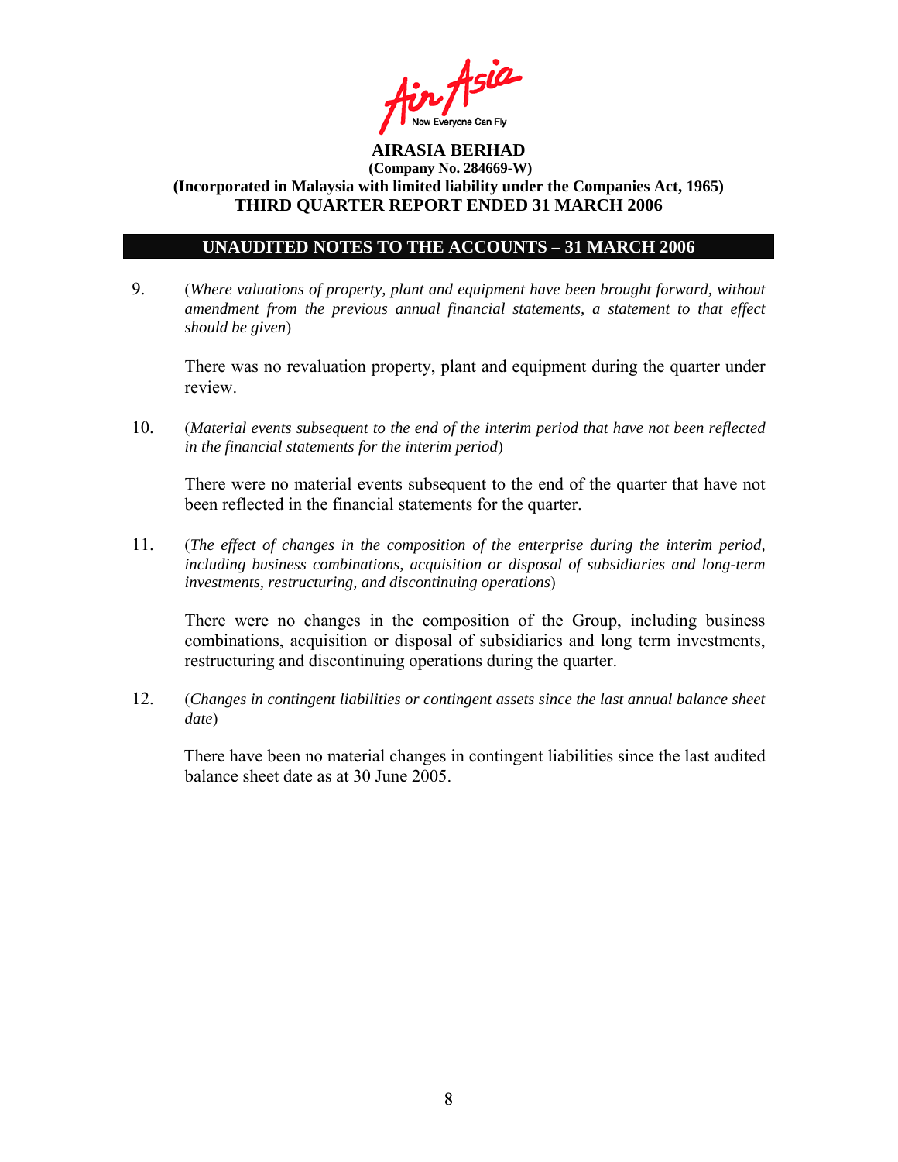

### **UNAUDITED NOTES TO THE ACCOUNTS – 31 MARCH 2006**

9. (*Where valuations of property, plant and equipment have been brought forward, without amendment from the previous annual financial statements, a statement to that effect should be given*)

 There was no revaluation property, plant and equipment during the quarter under review.

10. (*Material events subsequent to the end of the interim period that have not been reflected in the financial statements for the interim period*)

There were no material events subsequent to the end of the quarter that have not been reflected in the financial statements for the quarter.

11. (*The effect of changes in the composition of the enterprise during the interim period, including business combinations, acquisition or disposal of subsidiaries and long-term investments, restructuring, and discontinuing operations*)

There were no changes in the composition of the Group, including business combinations, acquisition or disposal of subsidiaries and long term investments, restructuring and discontinuing operations during the quarter.

12. (*Changes in contingent liabilities or contingent assets since the last annual balance sheet date*)

There have been no material changes in contingent liabilities since the last audited balance sheet date as at 30 June 2005.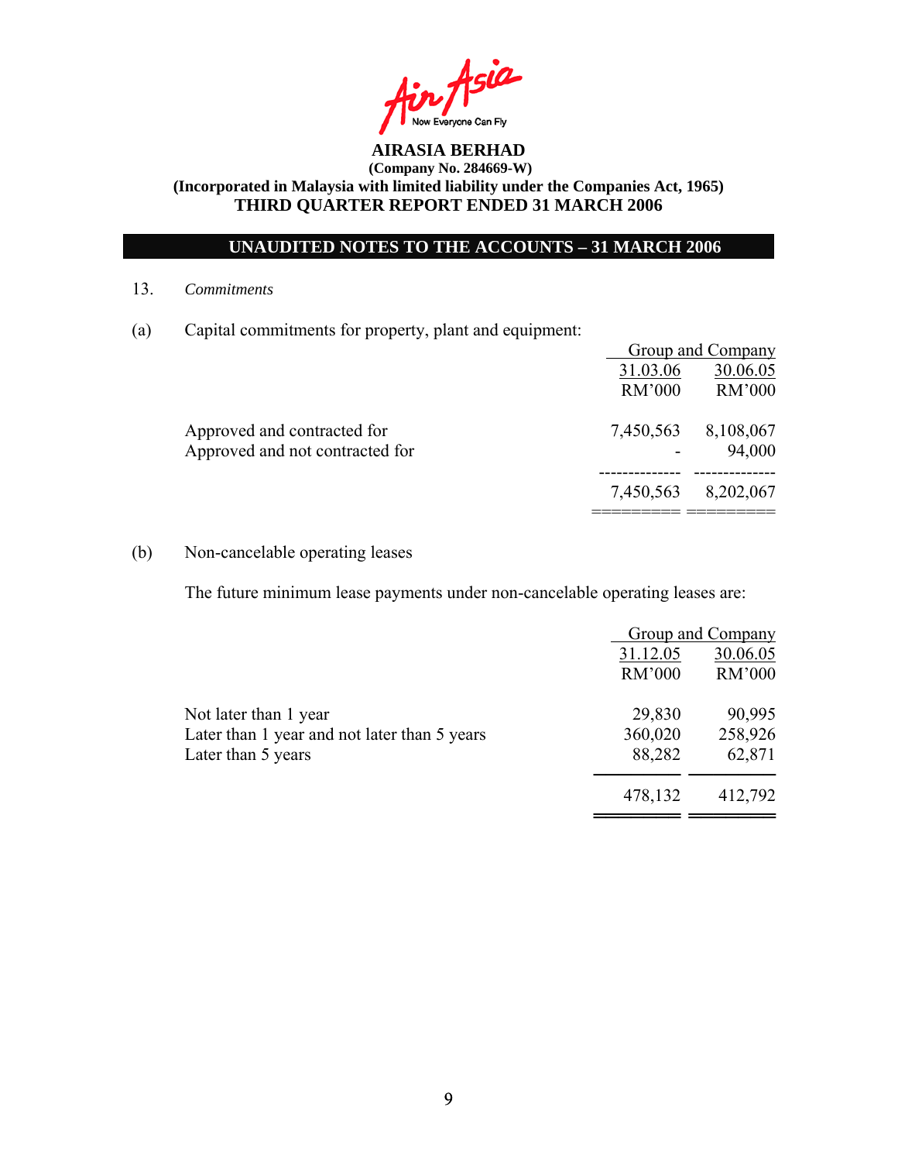

### **UNAUDITED NOTES TO THE ACCOUNTS – 31 MARCH 2006**

13. *Commitments*

(a) Capital commitments for property, plant and equipment:

|                                 |               | Group and Company |
|---------------------------------|---------------|-------------------|
|                                 | 31.03.06      | 30.06.05          |
|                                 | <b>RM'000</b> | RM'000            |
| Approved and contracted for     | 7,450,563     | 8,108,067         |
| Approved and not contracted for |               | 94,000            |
|                                 | 7,450,563     | 8,202,067         |
|                                 |               |                   |

### (b) Non-cancelable operating leases

The future minimum lease payments under non-cancelable operating leases are:

|                                              |          | Group and Company |
|----------------------------------------------|----------|-------------------|
|                                              | 31.12.05 | 30.06.05          |
|                                              | RM'000   | RM'000            |
| Not later than 1 year                        | 29,830   | 90,995            |
| Later than 1 year and not later than 5 years | 360,020  | 258,926           |
| Later than 5 years                           | 88,282   | 62,871            |
|                                              | 478,132  | 412,792           |
|                                              |          |                   |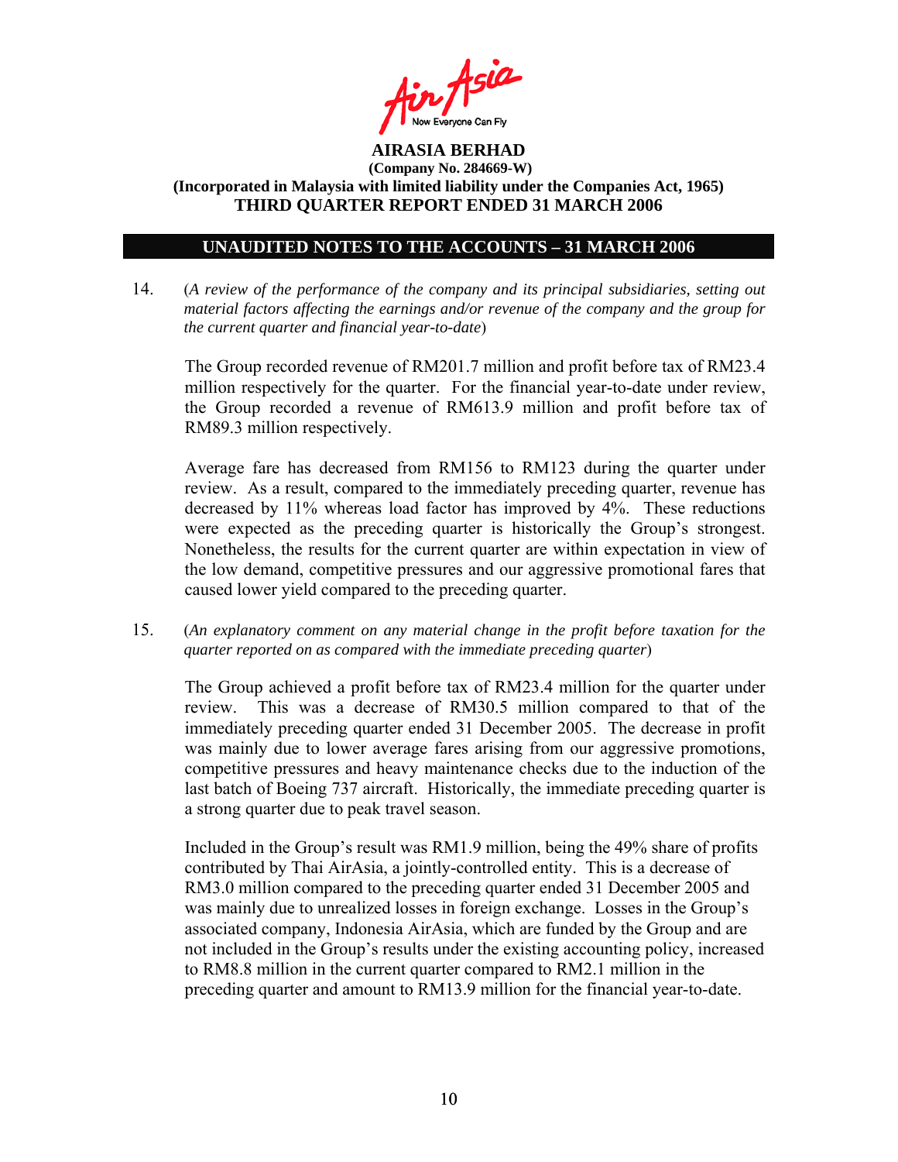

### **UNAUDITED NOTES TO THE ACCOUNTS – 31 MARCH 2006**

14. (*A review of the performance of the company and its principal subsidiaries, setting out material factors affecting the earnings and/or revenue of the company and the group for the current quarter and financial year-to-date*)

The Group recorded revenue of RM201.7 million and profit before tax of RM23.4 million respectively for the quarter. For the financial year-to-date under review, the Group recorded a revenue of RM613.9 million and profit before tax of RM89.3 million respectively.

Average fare has decreased from RM156 to RM123 during the quarter under review. As a result, compared to the immediately preceding quarter, revenue has decreased by 11% whereas load factor has improved by 4%. These reductions were expected as the preceding quarter is historically the Group's strongest. Nonetheless, the results for the current quarter are within expectation in view of the low demand, competitive pressures and our aggressive promotional fares that caused lower yield compared to the preceding quarter.

15. (*An explanatory comment on any material change in the profit before taxation for the quarter reported on as compared with the immediate preceding quarter*)

The Group achieved a profit before tax of RM23.4 million for the quarter under review. This was a decrease of RM30.5 million compared to that of the immediately preceding quarter ended 31 December 2005. The decrease in profit was mainly due to lower average fares arising from our aggressive promotions, competitive pressures and heavy maintenance checks due to the induction of the last batch of Boeing 737 aircraft. Historically, the immediate preceding quarter is a strong quarter due to peak travel season.

 Included in the Group's result was RM1.9 million, being the 49% share of profits contributed by Thai AirAsia, a jointly-controlled entity. This is a decrease of RM3.0 million compared to the preceding quarter ended 31 December 2005 and was mainly due to unrealized losses in foreign exchange. Losses in the Group's associated company, Indonesia AirAsia, which are funded by the Group and are not included in the Group's results under the existing accounting policy, increased to RM8.8 million in the current quarter compared to RM2.1 million in the preceding quarter and amount to RM13.9 million for the financial year-to-date.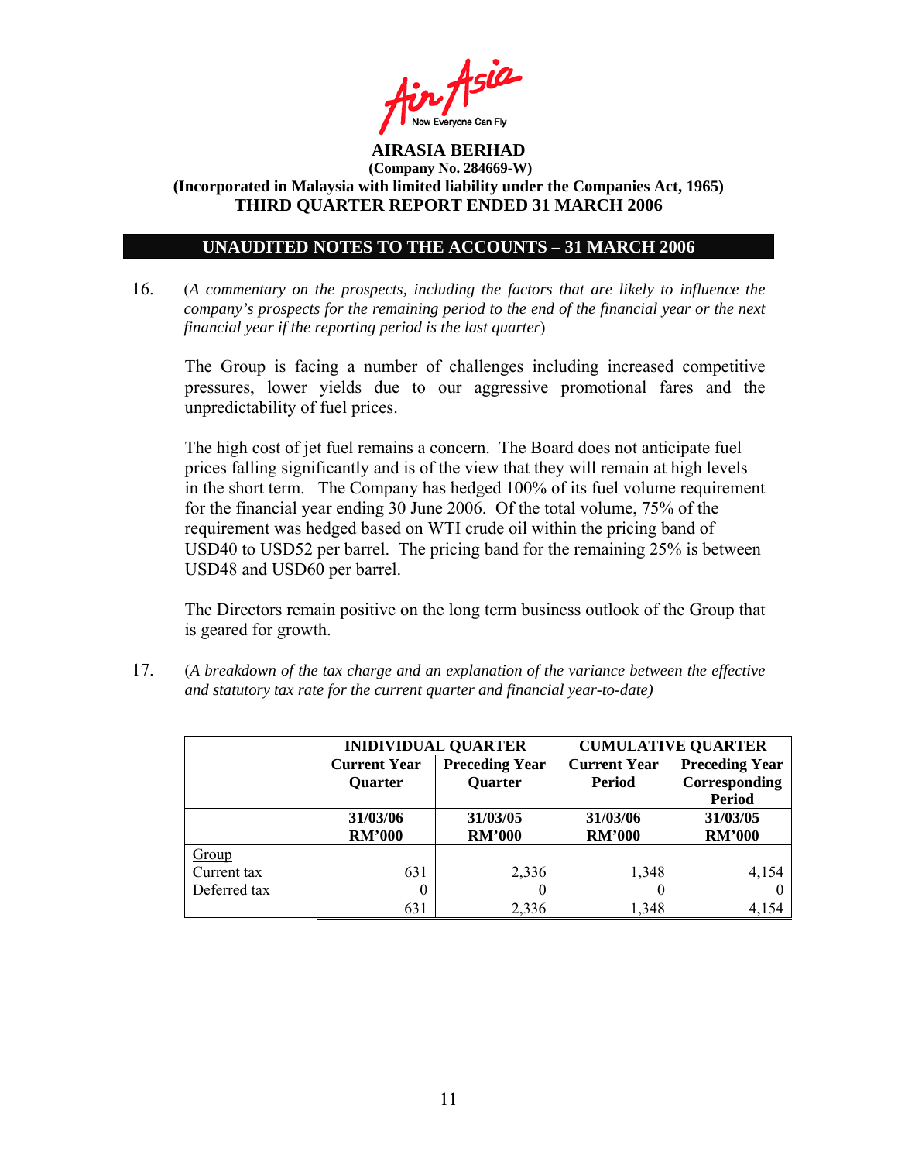

### **UNAUDITED NOTES TO THE ACCOUNTS – 31 MARCH 2006**

16. (*A commentary on the prospects, including the factors that are likely to influence the company's prospects for the remaining period to the end of the financial year or the next financial year if the reporting period is the last quarter*)

The Group is facing a number of challenges including increased competitive pressures, lower yields due to our aggressive promotional fares and the unpredictability of fuel prices.

The high cost of jet fuel remains a concern. The Board does not anticipate fuel prices falling significantly and is of the view that they will remain at high levels in the short term. The Company has hedged 100% of its fuel volume requirement for the financial year ending 30 June 2006. Of the total volume, 75% of the requirement was hedged based on WTI crude oil within the pricing band of USD40 to USD52 per barrel. The pricing band for the remaining 25% is between USD48 and USD60 per barrel.

The Directors remain positive on the long term business outlook of the Group that is geared for growth.

17. (*A breakdown of the tax charge and an explanation of the variance between the effective and statutory tax rate for the current quarter and financial year-to-date)*

|              |                                       | <b>INIDIVIDUAL QUARTER</b>              | <b>CUMULATIVE QUARTER</b>            |                                        |  |
|--------------|---------------------------------------|-----------------------------------------|--------------------------------------|----------------------------------------|--|
|              | <b>Current Year</b><br><b>Quarter</b> | <b>Preceding Year</b><br><b>Quarter</b> | <b>Current Year</b><br><b>Period</b> | <b>Preceding Year</b><br>Corresponding |  |
|              |                                       |                                         |                                      | Period                                 |  |
|              | 31/03/06                              | 31/03/05                                | 31/03/06                             | 31/03/05                               |  |
|              | <b>RM'000</b>                         | <b>RM'000</b>                           | <b>RM'000</b>                        | <b>RM'000</b>                          |  |
| Group        |                                       |                                         |                                      |                                        |  |
| Current tax  | 631                                   | 2,336                                   | 1,348                                | 4,154                                  |  |
| Deferred tax |                                       | 0                                       | 0                                    |                                        |  |
|              | 631                                   | 2,336                                   | 1,348                                | 4,154                                  |  |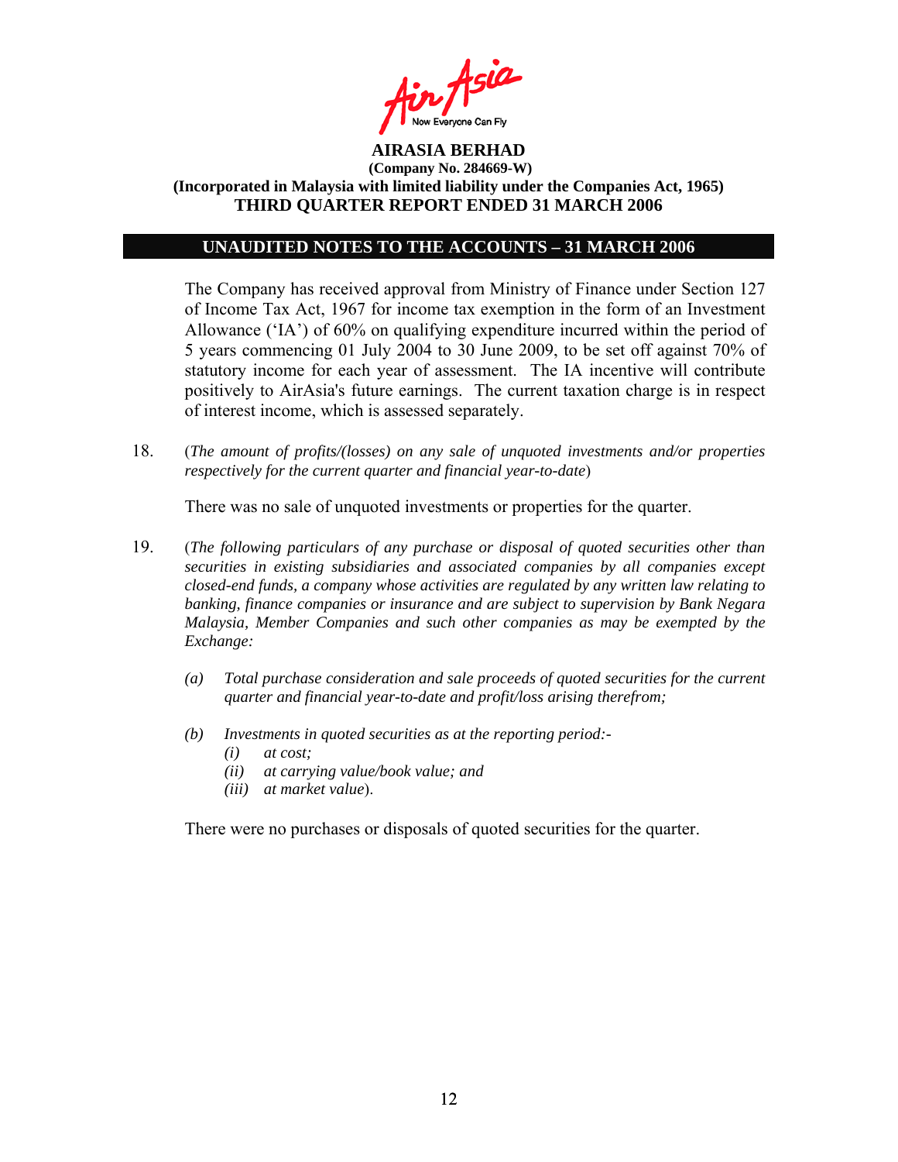

#### **UNAUDITED NOTES TO THE ACCOUNTS – 31 MARCH 2006**

The Company has received approval from Ministry of Finance under Section 127 of Income Tax Act, 1967 for income tax exemption in the form of an Investment Allowance ('IA') of 60% on qualifying expenditure incurred within the period of 5 years commencing 01 July 2004 to 30 June 2009, to be set off against 70% of statutory income for each year of assessment. The IA incentive will contribute positively to AirAsia's future earnings. The current taxation charge is in respect of interest income, which is assessed separately.

18. (*The amount of profits/(losses) on any sale of unquoted investments and/or properties respectively for the current quarter and financial year-to-date*)

There was no sale of unquoted investments or properties for the quarter.

- 19. (*The following particulars of any purchase or disposal of quoted securities other than securities in existing subsidiaries and associated companies by all companies except closed-end funds, a company whose activities are regulated by any written law relating to banking, finance companies or insurance and are subject to supervision by Bank Negara Malaysia, Member Companies and such other companies as may be exempted by the Exchange:* 
	- *(a) Total purchase consideration and sale proceeds of quoted securities for the current quarter and financial year-to-date and profit/loss arising therefrom;*
	- *(b) Investments in quoted securities as at the reporting period:-* 
		- *(i) at cost;*
		- *(ii) at carrying value/book value; and*
		- *(iii) at market value*).

There were no purchases or disposals of quoted securities for the quarter.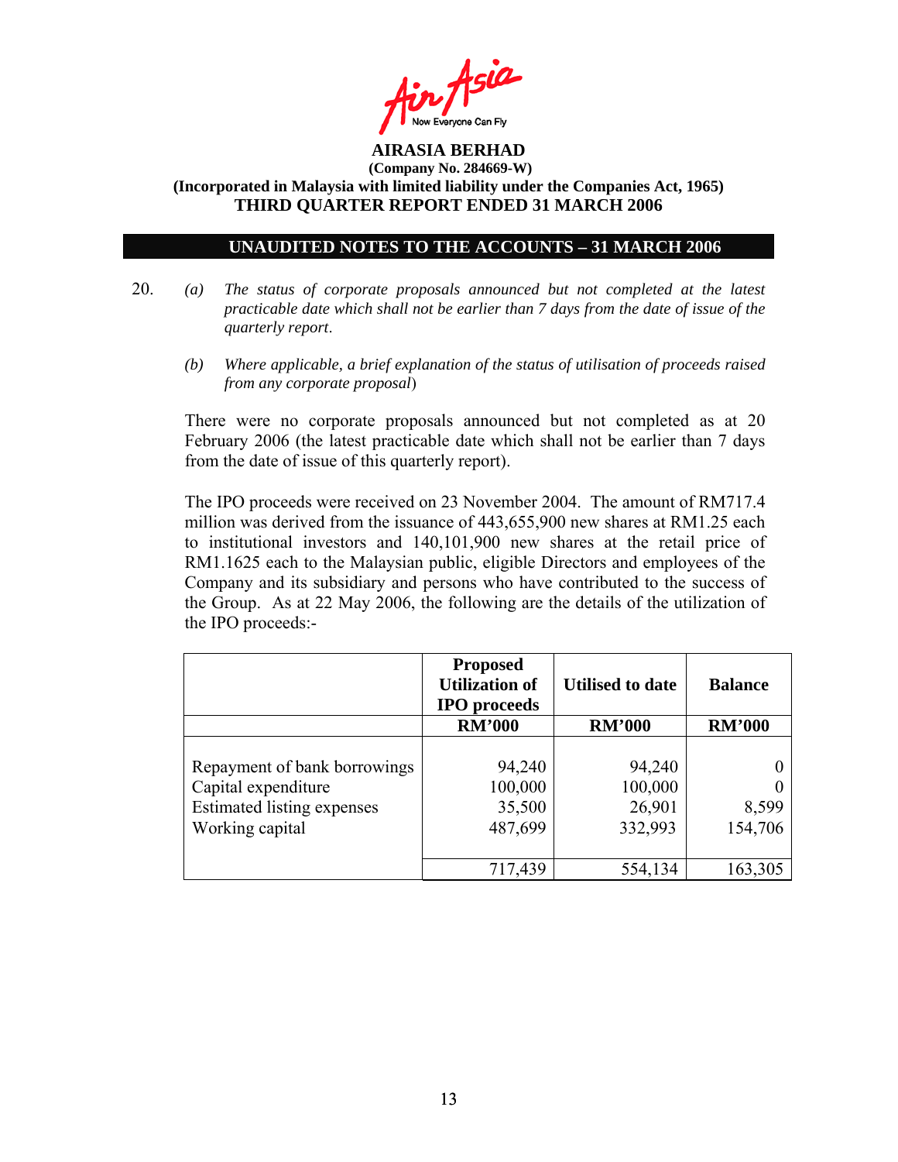

#### **UNAUDITED NOTES TO THE ACCOUNTS – 31 MARCH 2006**

- 20. *(a) The status of corporate proposals announced but not completed at the latest practicable date which shall not be earlier than 7 days from the date of issue of the quarterly report*.
	- *(b) Where applicable, a brief explanation of the status of utilisation of proceeds raised from any corporate proposal*)

There were no corporate proposals announced but not completed as at 20 February 2006 (the latest practicable date which shall not be earlier than 7 days from the date of issue of this quarterly report).

 The IPO proceeds were received on 23 November 2004. The amount of RM717.4 million was derived from the issuance of 443,655,900 new shares at RM1.25 each to institutional investors and 140,101,900 new shares at the retail price of RM1.1625 each to the Malaysian public, eligible Directors and employees of the Company and its subsidiary and persons who have contributed to the success of the Group. As at 22 May 2006, the following are the details of the utilization of the IPO proceeds:-

|                                                                                                      | <b>Proposed</b><br><b>Utilization of</b><br><b>IPO</b> proceeds | <b>Utilised to date</b>                | <b>Balance</b>   |
|------------------------------------------------------------------------------------------------------|-----------------------------------------------------------------|----------------------------------------|------------------|
|                                                                                                      | <b>RM'000</b>                                                   | <b>RM'000</b>                          | <b>RM'000</b>    |
| Repayment of bank borrowings<br>Capital expenditure<br>Estimated listing expenses<br>Working capital | 94,240<br>100,000<br>35,500<br>487,699                          | 94,240<br>100,000<br>26,901<br>332,993 | 8,599<br>154,706 |
|                                                                                                      | 717,439                                                         | 554,134                                | 163,305          |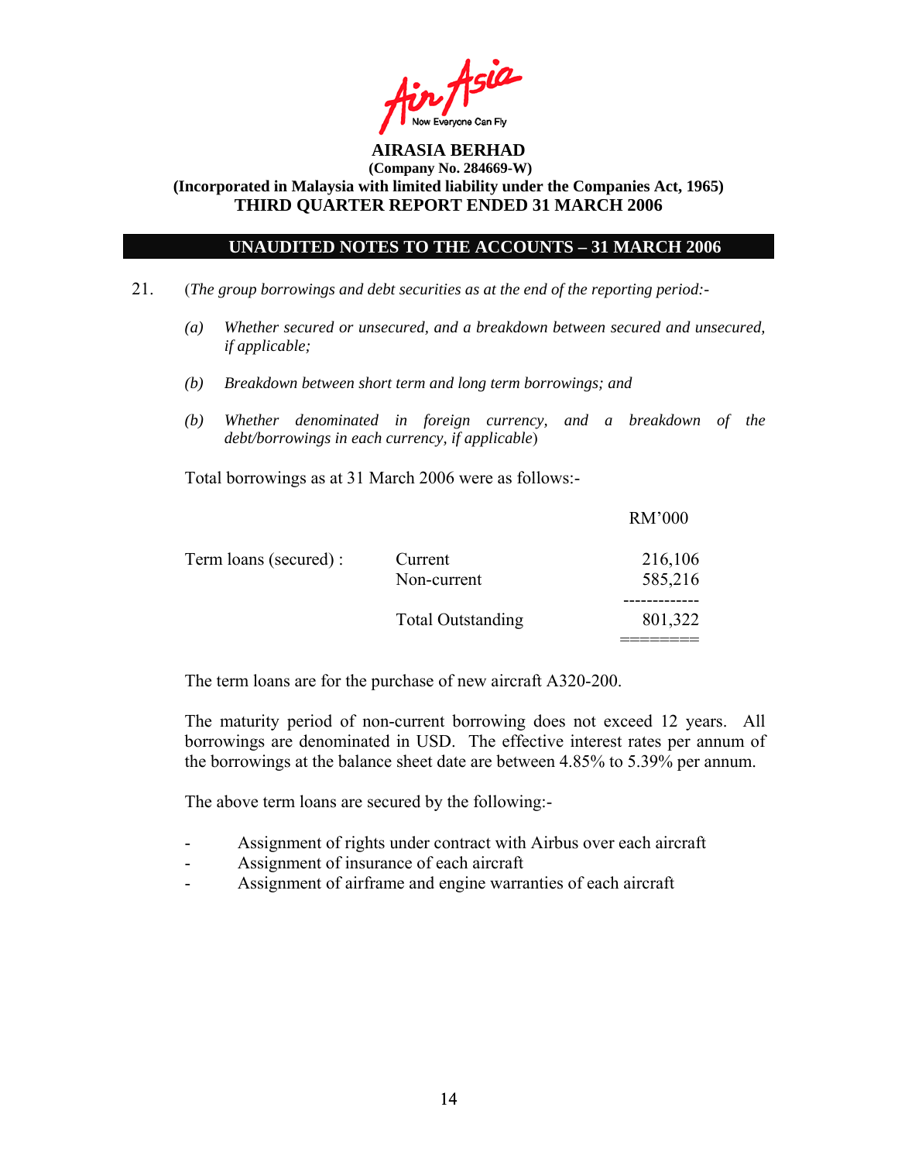

#### **UNAUDITED NOTES TO THE ACCOUNTS – 31 MARCH 2006**

- 21. (*The group borrowings and debt securities as at the end of the reporting period:-* 
	- *(a) Whether secured or unsecured, and a breakdown between secured and unsecured, if applicable;*
	- *(b) Breakdown between short term and long term borrowings; and*
	- *(b) Whether denominated in foreign currency, and a breakdown of the debt/borrowings in each currency, if applicable*)

Total borrowings as at 31 March 2006 were as follows:-

|                       |                          | <b>RM'000</b> |
|-----------------------|--------------------------|---------------|
| Term loans (secured): | Current                  | 216,106       |
|                       | Non-current              | 585,216       |
|                       |                          |               |
|                       | <b>Total Outstanding</b> | 801,322       |
|                       |                          |               |

The term loans are for the purchase of new aircraft A320-200.

The maturity period of non-current borrowing does not exceed 12 years. All borrowings are denominated in USD. The effective interest rates per annum of the borrowings at the balance sheet date are between 4.85% to 5.39% per annum.

The above term loans are secured by the following:-

- Assignment of rights under contract with Airbus over each aircraft
- Assignment of insurance of each aircraft
- Assignment of airframe and engine warranties of each aircraft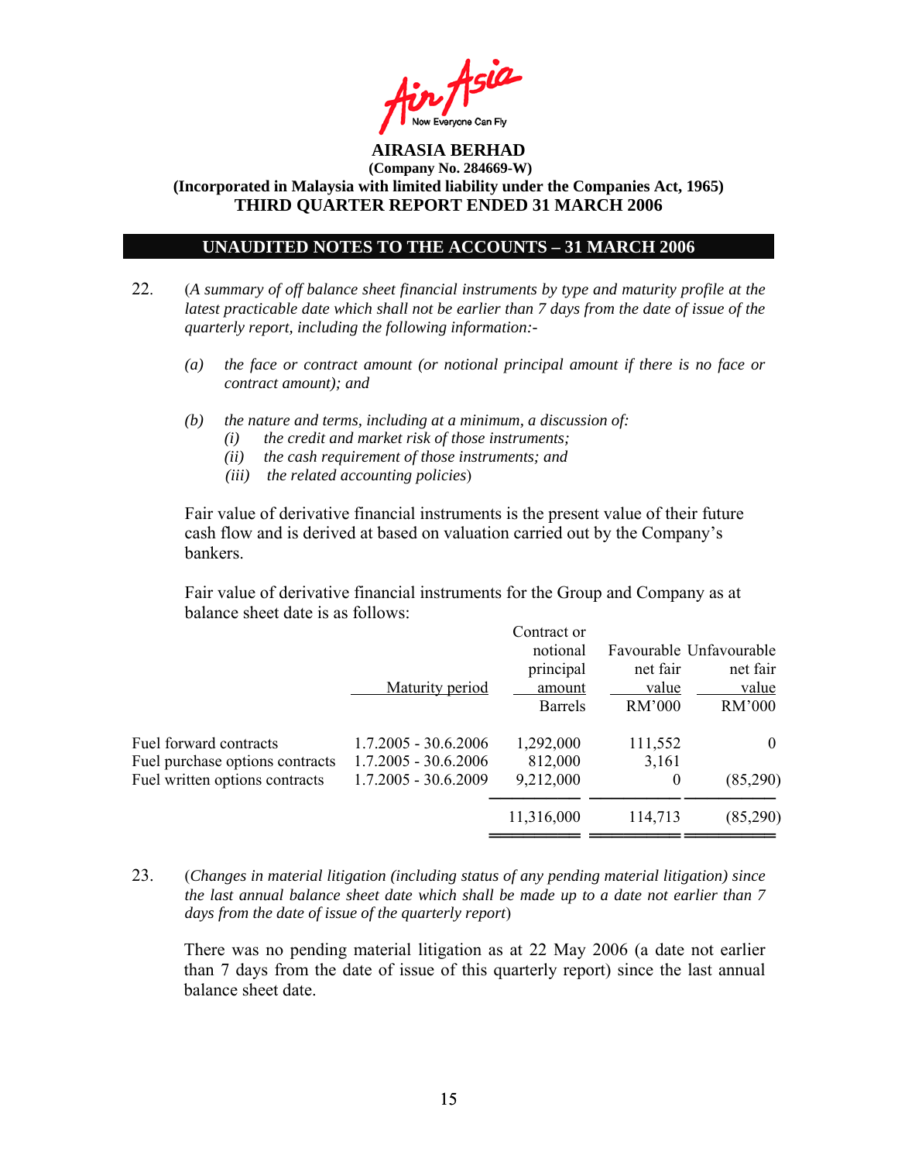

#### **UNAUDITED NOTES TO THE ACCOUNTS – 31 MARCH 2006**

- 22. (*A summary of off balance sheet financial instruments by type and maturity profile at the latest practicable date which shall not be earlier than 7 days from the date of issue of the quarterly report, including the following information:-* 
	- *(a) the face or contract amount (or notional principal amount if there is no face or contract amount); and*
	- *(b) the nature and terms, including at a minimum, a discussion of:* 
		- *(i) the credit and market risk of those instruments;*
		- *(ii) the cash requirement of those instruments; and*
		- *(iii) the related accounting policies*)

Fair value of derivative financial instruments is the present value of their future cash flow and is derived at based on valuation carried out by the Company's bankers.

 Fair value of derivative financial instruments for the Group and Company as at balance sheet date is as follows:

|                                 |                        | Contract or    |          |                         |
|---------------------------------|------------------------|----------------|----------|-------------------------|
|                                 |                        | notional       |          | Favourable Unfavourable |
|                                 |                        | principal      | net fair | net fair                |
|                                 | Maturity period        | amount         | value    | value                   |
|                                 |                        | <b>Barrels</b> | RM'000   | RM'000                  |
| Fuel forward contracts          | $1.7.2005 - 30.6.2006$ | 1,292,000      | 111,552  | $\Omega$                |
| Fuel purchase options contracts | $1.7.2005 - 30.6.2006$ | 812,000        | 3,161    |                         |
| Fuel written options contracts  | $1.7.2005 - 30.6.2009$ | 9,212,000      | 0        | (85,290)                |
|                                 |                        | 11,316,000     | 114,713  | (85,290)                |
|                                 |                        |                |          |                         |

23. (*Changes in material litigation (including status of any pending material litigation) since the last annual balance sheet date which shall be made up to a date not earlier than 7 days from the date of issue of the quarterly report*)

There was no pending material litigation as at 22 May 2006 (a date not earlier than 7 days from the date of issue of this quarterly report) since the last annual balance sheet date.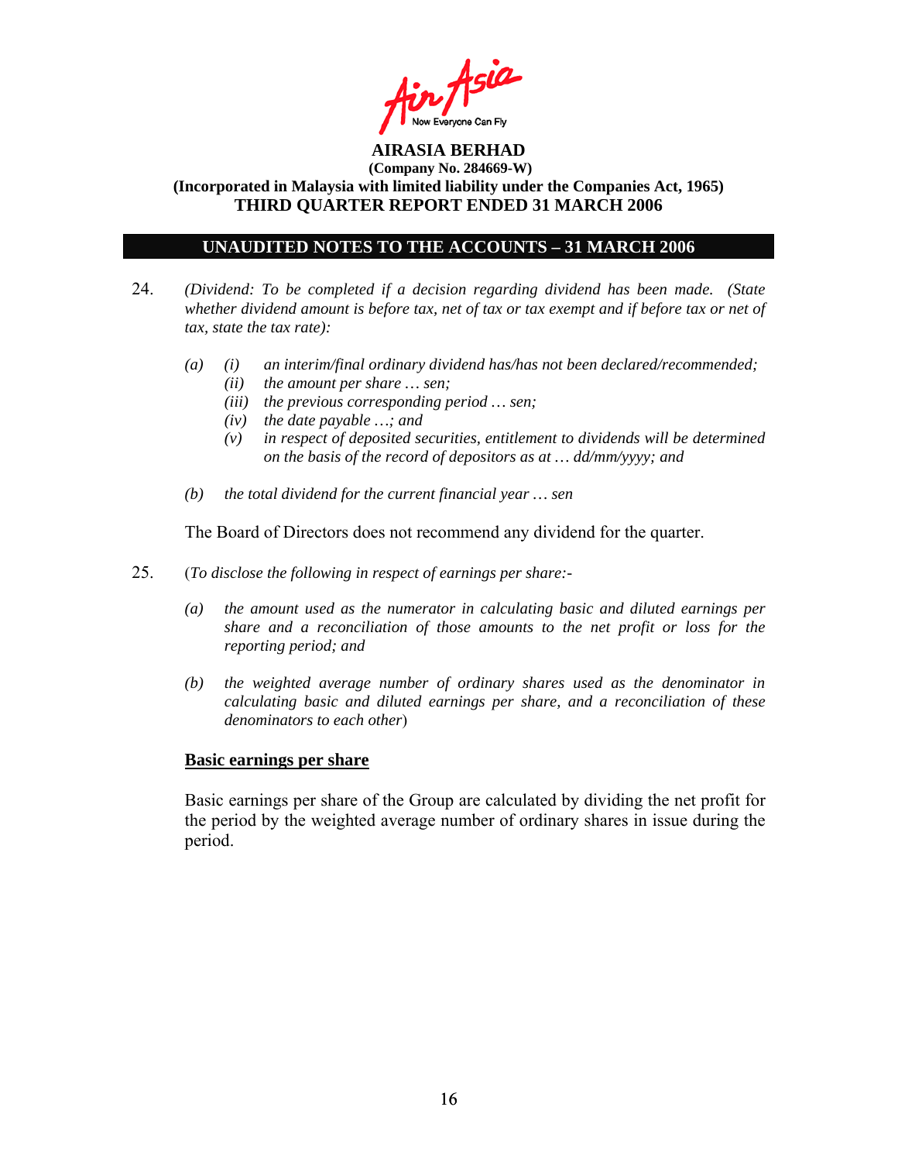

### **UNAUDITED NOTES TO THE ACCOUNTS – 31 MARCH 2006**

- 24. *(Dividend: To be completed if a decision regarding dividend has been made. (State whether dividend amount is before tax, net of tax or tax exempt and if before tax or net of tax, state the tax rate):*
	- *(a) (i) an interim/final ordinary dividend has/has not been declared/recommended; (ii) the amount per share … sen;* 
		- *(iii) the previous corresponding period … sen;*
		- *(iv) the date payable …; and*
		- *(v) in respect of deposited securities, entitlement to dividends will be determined on the basis of the record of depositors as at … dd/mm/yyyy; and*
	- *(b) the total dividend for the current financial year … sen*

The Board of Directors does not recommend any dividend for the quarter.

- 25. (*To disclose the following in respect of earnings per share:-* 
	- *(a) the amount used as the numerator in calculating basic and diluted earnings per share and a reconciliation of those amounts to the net profit or loss for the reporting period; and*
	- *(b) the weighted average number of ordinary shares used as the denominator in calculating basic and diluted earnings per share, and a reconciliation of these denominators to each other*)

#### **Basic earnings per share**

 Basic earnings per share of the Group are calculated by dividing the net profit for the period by the weighted average number of ordinary shares in issue during the period.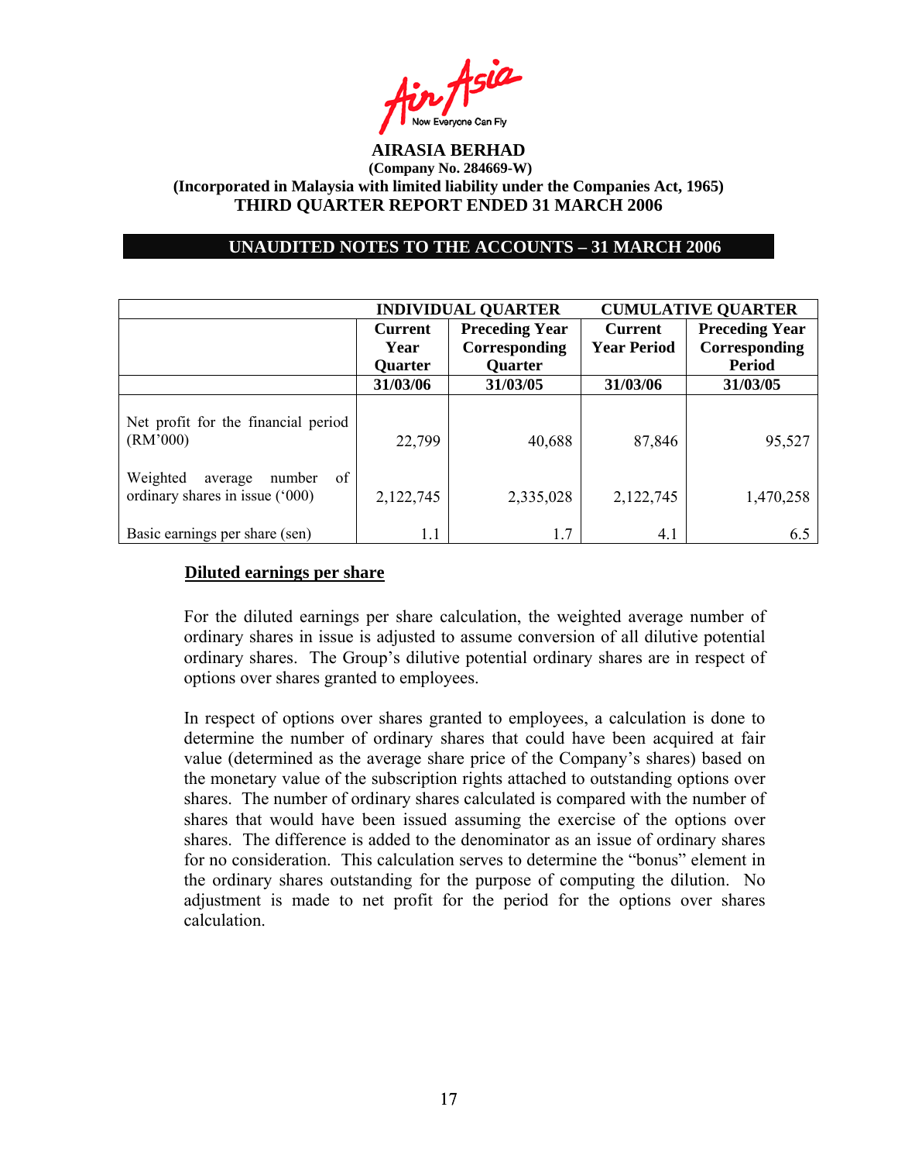

#### **UNAUDITED NOTES TO THE ACCOUNTS – 31 MARCH 2006**

|                                                                        |                | <b>INDIVIDUAL QUARTER</b> |                    | <b>CUMULATIVE QUARTER</b> |
|------------------------------------------------------------------------|----------------|---------------------------|--------------------|---------------------------|
|                                                                        | <b>Current</b> | <b>Preceding Year</b>     | <b>Current</b>     | <b>Preceding Year</b>     |
|                                                                        | Year           | Corresponding             | <b>Year Period</b> | Corresponding             |
|                                                                        | Quarter        | Quarter                   |                    | <b>Period</b>             |
|                                                                        | 31/03/06       | 31/03/05                  | 31/03/06           | 31/03/05                  |
| Net profit for the financial period<br>(RM'000)                        | 22,799         | 40,688                    | 87,846             | 95,527                    |
| Weighted<br>of<br>number<br>average<br>ordinary shares in issue ('000) | 2,122,745      | 2,335,028                 | 2,122,745          | 1,470,258                 |
| Basic earnings per share (sen)                                         | 1.1            | 1.7                       | 4.1                | 6.5                       |

#### **Diluted earnings per share**

For the diluted earnings per share calculation, the weighted average number of ordinary shares in issue is adjusted to assume conversion of all dilutive potential ordinary shares. The Group's dilutive potential ordinary shares are in respect of options over shares granted to employees.

In respect of options over shares granted to employees, a calculation is done to determine the number of ordinary shares that could have been acquired at fair value (determined as the average share price of the Company's shares) based on the monetary value of the subscription rights attached to outstanding options over shares. The number of ordinary shares calculated is compared with the number of shares that would have been issued assuming the exercise of the options over shares. The difference is added to the denominator as an issue of ordinary shares for no consideration. This calculation serves to determine the "bonus" element in the ordinary shares outstanding for the purpose of computing the dilution. No adjustment is made to net profit for the period for the options over shares calculation.